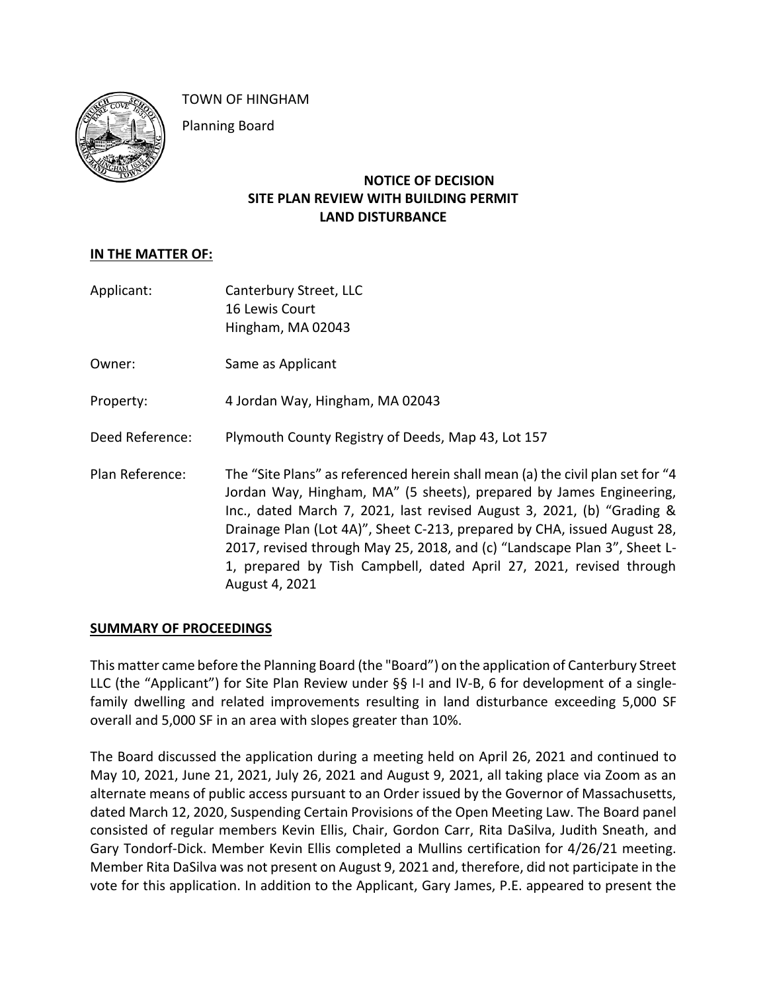

TOWN OF HINGHAM

Planning Board

## **NOTICE OF DECISION SITE PLAN REVIEW WITH BUILDING PERMIT LAND DISTURBANCE**

## **IN THE MATTER OF:**

- Applicant: Canterbury Street, LLC 16 Lewis Court Hingham, MA 02043 Owner: Same as Applicant Property: 4 Jordan Way, Hingham, MA 02043 Deed Reference: Plymouth County Registry of Deeds, Map 43, Lot 157 Plan Reference: The "Site Plans" as referenced herein shall mean (a) the civil plan set for "4
	- Jordan Way, Hingham, MA" (5 sheets), prepared by James Engineering, Inc., dated March 7, 2021, last revised August 3, 2021, (b) "Grading & Drainage Plan (Lot 4A)", Sheet C-213, prepared by CHA, issued August 28, 2017, revised through May 25, 2018, and (c) "Landscape Plan 3", Sheet L-1, prepared by Tish Campbell, dated April 27, 2021, revised through August 4, 2021

#### **SUMMARY OF PROCEEDINGS**

This matter came before the Planning Board (the "Board") on the application of Canterbury Street LLC (the "Applicant") for Site Plan Review under §§ I-I and IV-B, 6 for development of a singlefamily dwelling and related improvements resulting in land disturbance exceeding 5,000 SF overall and 5,000 SF in an area with slopes greater than 10%.

The Board discussed the application during a meeting held on April 26, 2021 and continued to May 10, 2021, June 21, 2021, July 26, 2021 and August 9, 2021, all taking place via Zoom as an alternate means of public access pursuant to an Order issued by the Governor of Massachusetts, dated March 12, 2020, Suspending Certain Provisions of the Open Meeting Law. The Board panel consisted of regular members Kevin Ellis, Chair, Gordon Carr, Rita DaSilva, Judith Sneath, and Gary Tondorf-Dick. Member Kevin Ellis completed a Mullins certification for 4/26/21 meeting. Member Rita DaSilva was not present on August 9, 2021 and, therefore, did not participate in the vote for this application. In addition to the Applicant, Gary James, P.E. appeared to present the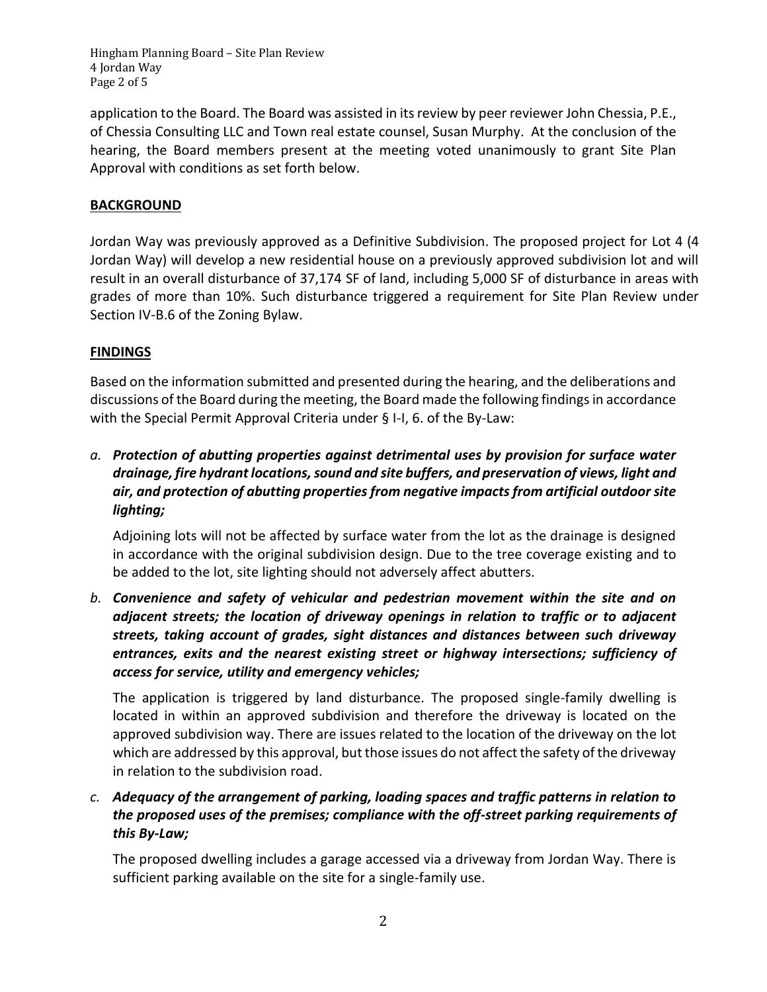Hingham Planning Board – Site Plan Review 4 Jordan Way Page 2 of 5

application to the Board. The Board was assisted in its review by peer reviewer John Chessia, P.E., of Chessia Consulting LLC and Town real estate counsel, Susan Murphy. At the conclusion of the hearing, the Board members present at the meeting voted unanimously to grant Site Plan Approval with conditions as set forth below.

## **BACKGROUND**

Jordan Way was previously approved as a Definitive Subdivision. The proposed project for Lot 4 (4 Jordan Way) will develop a new residential house on a previously approved subdivision lot and will result in an overall disturbance of 37,174 SF of land, including 5,000 SF of disturbance in areas with grades of more than 10%. Such disturbance triggered a requirement for Site Plan Review under Section IV-B.6 of the Zoning Bylaw.

### **FINDINGS**

Based on the information submitted and presented during the hearing, and the deliberations and discussions of the Board during the meeting, the Board made the following findings in accordance with the Special Permit Approval Criteria under § I-I, 6. of the By-Law:

# *a. Protection of abutting properties against detrimental uses by provision for surface water drainage, fire hydrant locations, sound and site buffers, and preservation of views, light and air, and protection of abutting properties from negative impacts from artificial outdoor site lighting;*

Adjoining lots will not be affected by surface water from the lot as the drainage is designed in accordance with the original subdivision design. Due to the tree coverage existing and to be added to the lot, site lighting should not adversely affect abutters.

*b. Convenience and safety of vehicular and pedestrian movement within the site and on adjacent streets; the location of driveway openings in relation to traffic or to adjacent streets, taking account of grades, sight distances and distances between such driveway entrances, exits and the nearest existing street or highway intersections; sufficiency of access for service, utility and emergency vehicles;*

The application is triggered by land disturbance. The proposed single-family dwelling is located in within an approved subdivision and therefore the driveway is located on the approved subdivision way. There are issues related to the location of the driveway on the lot which are addressed by this approval, but those issues do not affect the safety of the driveway in relation to the subdivision road.

# *c. Adequacy of the arrangement of parking, loading spaces and traffic patterns in relation to the proposed uses of the premises; compliance with the off-street parking requirements of this By-Law;*

The proposed dwelling includes a garage accessed via a driveway from Jordan Way. There is sufficient parking available on the site for a single-family use.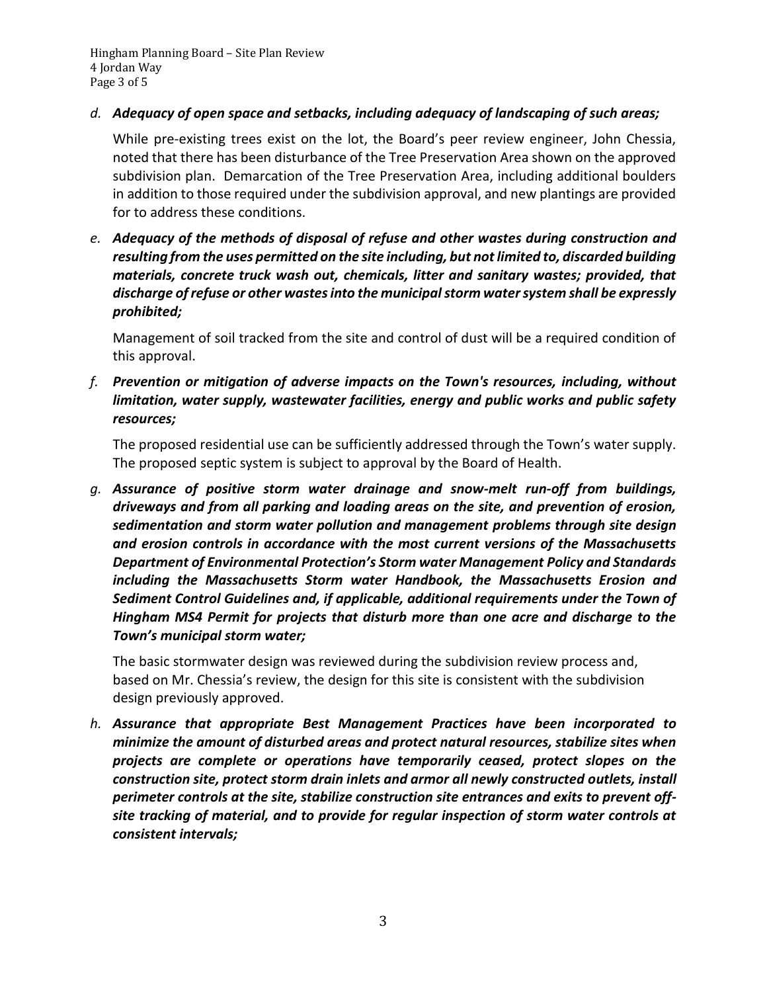Hingham Planning Board – Site Plan Review 4 Jordan Way Page 3 of 5

## *d. Adequacy of open space and setbacks, including adequacy of landscaping of such areas;*

While pre-existing trees exist on the lot, the Board's peer review engineer, John Chessia, noted that there has been disturbance of the Tree Preservation Area shown on the approved subdivision plan. Demarcation of the Tree Preservation Area, including additional boulders in addition to those required under the subdivision approval, and new plantings are provided for to address these conditions.

*e. Adequacy of the methods of disposal of refuse and other wastes during construction and resulting from the uses permitted on the site including, but not limited to, discarded building materials, concrete truck wash out, chemicals, litter and sanitary wastes; provided, that discharge of refuse or other wastes into the municipal storm water system shall be expressly prohibited;*

Management of soil tracked from the site and control of dust will be a required condition of this approval.

*f. Prevention or mitigation of adverse impacts on the Town's resources, including, without limitation, water supply, wastewater facilities, energy and public works and public safety resources;*

The proposed residential use can be sufficiently addressed through the Town's water supply. The proposed septic system is subject to approval by the Board of Health.

*g. Assurance of positive storm water drainage and snow-melt run-off from buildings, driveways and from all parking and loading areas on the site, and prevention of erosion, sedimentation and storm water pollution and management problems through site design and erosion controls in accordance with the most current versions of the Massachusetts Department of Environmental Protection's Storm water Management Policy and Standards including the Massachusetts Storm water Handbook, the Massachusetts Erosion and Sediment Control Guidelines and, if applicable, additional requirements under the Town of Hingham MS4 Permit for projects that disturb more than one acre and discharge to the Town's municipal storm water;*

The basic stormwater design was reviewed during the subdivision review process and, based on Mr. Chessia's review, the design for this site is consistent with the subdivision design previously approved.

*h. Assurance that appropriate Best Management Practices have been incorporated to minimize the amount of disturbed areas and protect natural resources, stabilize sites when projects are complete or operations have temporarily ceased, protect slopes on the construction site, protect storm drain inlets and armor all newly constructed outlets, install perimeter controls at the site, stabilize construction site entrances and exits to prevent offsite tracking of material, and to provide for regular inspection of storm water controls at consistent intervals;*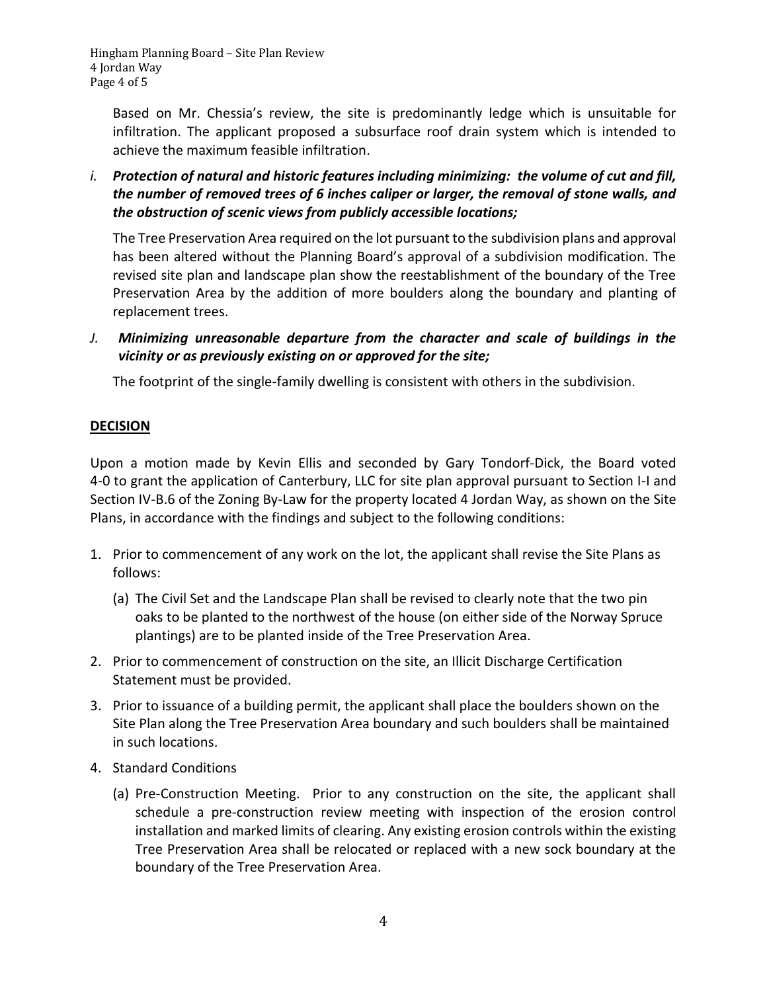Hingham Planning Board – Site Plan Review 4 Jordan Way Page 4 of 5

Based on Mr. Chessia's review, the site is predominantly ledge which is unsuitable for infiltration. The applicant proposed a subsurface roof drain system which is intended to achieve the maximum feasible infiltration.

*i. Protection of natural and historic features including minimizing: the volume of cut and fill, the number of removed trees of 6 inches caliper or larger, the removal of stone walls, and the obstruction of scenic views from publicly accessible locations;*

The Tree Preservation Area required on the lot pursuant to the subdivision plans and approval has been altered without the Planning Board's approval of a subdivision modification. The revised site plan and landscape plan show the reestablishment of the boundary of the Tree Preservation Area by the addition of more boulders along the boundary and planting of replacement trees.

*J. Minimizing unreasonable departure from the character and scale of buildings in the vicinity or as previously existing on or approved for the site;*

The footprint of the single-family dwelling is consistent with others in the subdivision.

## **DECISION**

Upon a motion made by Kevin Ellis and seconded by Gary Tondorf-Dick, the Board voted 4-0 to grant the application of Canterbury, LLC for site plan approval pursuant to Section I-I and Section IV-B.6 of the Zoning By-Law for the property located 4 Jordan Way, as shown on the Site Plans, in accordance with the findings and subject to the following conditions:

- 1. Prior to commencement of any work on the lot, the applicant shall revise the Site Plans as follows:
	- (a) The Civil Set and the Landscape Plan shall be revised to clearly note that the two pin oaks to be planted to the northwest of the house (on either side of the Norway Spruce plantings) are to be planted inside of the Tree Preservation Area.
- 2. Prior to commencement of construction on the site, an Illicit Discharge Certification Statement must be provided.
- 3. Prior to issuance of a building permit, the applicant shall place the boulders shown on the Site Plan along the Tree Preservation Area boundary and such boulders shall be maintained in such locations.
- 4. Standard Conditions
	- (a) Pre-Construction Meeting. Prior to any construction on the site, the applicant shall schedule a pre-construction review meeting with inspection of the erosion control installation and marked limits of clearing. Any existing erosion controls within the existing Tree Preservation Area shall be relocated or replaced with a new sock boundary at the boundary of the Tree Preservation Area.